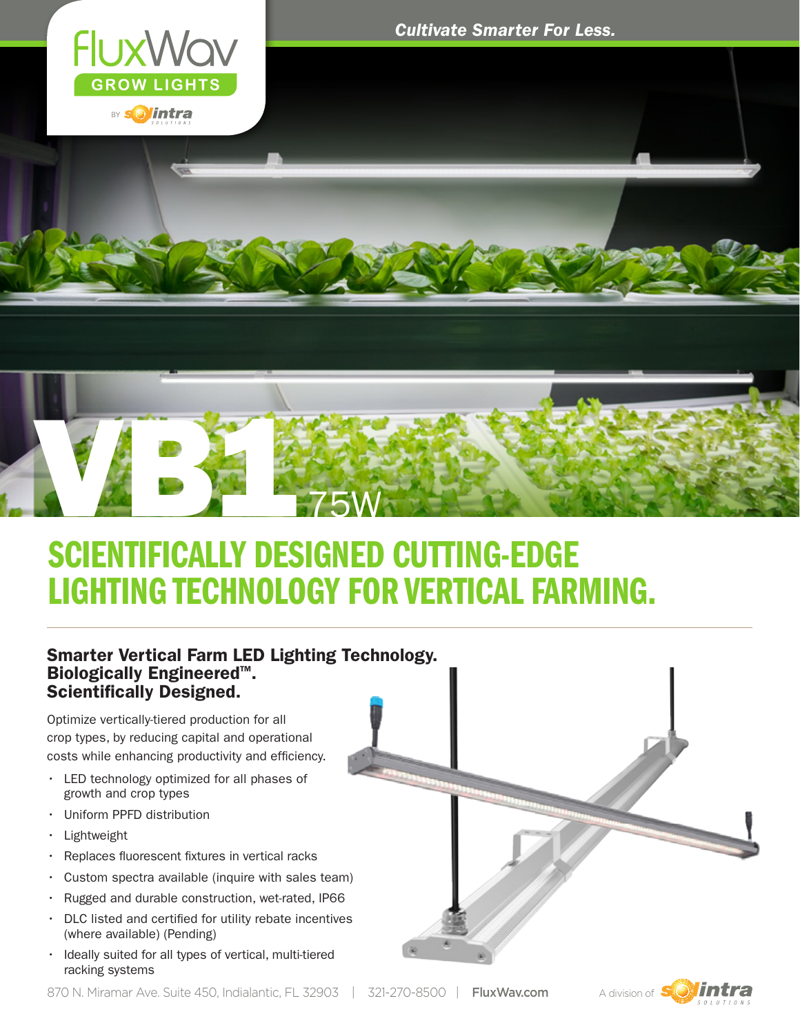

*Cultivate Smarter For Less.*



## SCIENTIFICALLY DESIGNED CUTTING-EDGE LIGHTING TECHNOLOGY FOR VERTICAL FARMING.

#### Smarter Vertical Farm LED Lighting Technology. **Biologically Engineered<sup>™</sup>.** Scientifically Designed.

Optimize vertically-tiered production for all crop types, by reducing capital and operational costs while enhancing productivity and efficiency.

- • LED technology optimized for all phases of growth and crop types
- • Uniform PPFD distribution
- • Lightweight
- • Replaces fluorescent fixtures in vertical racks
- $\cdot$  Custom spectra available (inquire with sales team)
- • Rugged and durable construction, wet-rated, IP66
- DLC listed and certified for utility rebate incentives (where available) (Pending)
- • Ideally suited for all types of vertical, multi-tiered racking systems